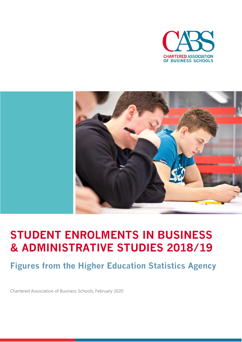



# **STUDENT ENROLMENTS IN BUSINESS & ADMINISTRATIVE STUDIES 2018/19**

**Figures from the Higher Education Statistics Agency**

Chartered Association of Business Schools, February 2020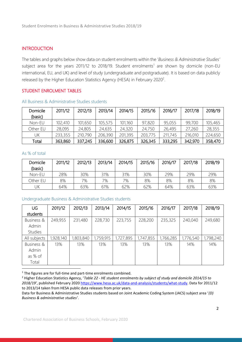#### **INTRODUCTION**

The tables and graphs below show data on student enrolments within the '*Business & Administrative Studies'*  subject area for the years 2011/12 to 2018/19. Student enrolments<sup>1</sup> are shown by domicile (non-EU international, EU, and UK) and level of study (undergraduate and postgraduate). It is based on data publicly released by the Higher Education Statistics Agency (HESA) in February 2020<sup>2</sup>.

#### STUDENT ENROLMENT TABLES

| <b>Domicile</b><br>(basic) | 2011/12 | 2012/13 | 2013/14 | 2014/15 | 2015/16 | 2016/17 | 2017/18 | 2018/19 |
|----------------------------|---------|---------|---------|---------|---------|---------|---------|---------|
| Non-EU                     | 102,410 | 101,650 | 105,575 | 101,160 | 97,820  | 95,055  | 99,700  | 105,465 |
| Other EU                   | 28,095  | 24,805  | 24,635  | 24,320  | 24,750  | 26,495  | 27,260  | 28,355  |
| UΚ                         | 233,355 | 210,790 | 206,390 | 201,395 | 203,775 | 211,745 | 216,010 | 224,650 |
| Total                      | 363,860 | 337,245 | 336,600 | 326,875 | 326,345 | 333,295 | 342,970 | 358,470 |

#### All Business & Administrative Studies students

#### As % of total

| Domicile<br>(basic) | 2011/12 | 2012/13 | 2013/14 | 2014/15 | 2015/16 | 2016/17 | 2017/18 | 2018/19 |
|---------------------|---------|---------|---------|---------|---------|---------|---------|---------|
| Non-EU              | 28%     | 30%     | 31%     | 31%     | 30%     | 29%     | 29%     | 29%     |
| Other EU            | 8%      | 7%      | 7%      | 7%      | 8%      | 8%      | 8%      | 8%      |
| JΚ                  | 64%     | 63%     | 61%     | 62%     | 62%     | 64%     | 63%     | 63%     |

#### Undergraduate Business & Administrative Studies students

| UG             | 2011/12   | 2012/13   | 2013/14   | 2014/15   | 2015/16   | 2016/17   | 2017/18   | 2018/19   |
|----------------|-----------|-----------|-----------|-----------|-----------|-----------|-----------|-----------|
| students       |           |           |           |           |           |           |           |           |
| Business &     | 249,955   | 231,480   | 228,730   | 223,755   | 228,200   | 235,325   | 240,040   | 249,680   |
| Admin          |           |           |           |           |           |           |           |           |
| <b>Studies</b> |           |           |           |           |           |           |           |           |
| All subjects   | 1,928,140 | 1,803,840 | 1,759,915 | 1,727,895 | 1,747,855 | 1,766,285 | 1,776,540 | 1,798,240 |
| Business &     | 13%       | 13%       | 13%       | 13%       | 13%       | 13%       | 14%       | 14%       |
| Admin          |           |           |           |           |           |           |           |           |
| as % of        |           |           |           |           |           |           |           |           |
| Total          |           |           |           |           |           |           |           |           |

<sup>1</sup> The figures are for full-time and part-time enrolments combined.

Data for Business & Administrative Studies students based on Joint Academic Coding System (JACS) subject area '*(D) Business & administrative studies'*.

<sup>2</sup> Higher Education Statistics Agency, '*Table 22 - HE student enrolments by subject of study and domicile 2014/15 to 2018/19'*, published February 2020 [https://www.hesa.ac.uk/data-and-analysis/students/what-study.](https://www.hesa.ac.uk/data-and-analysis/students/what-study) Data for 2011/12 to 2013/14 taken from HESA public data releases from prior years.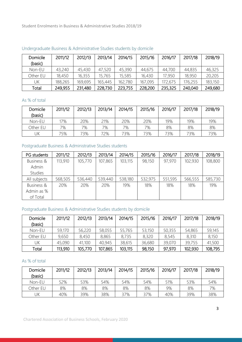Student Enrolments in Business & Administrative Studies 2018/19

| Domicile<br>(basic) | 2011/12 | 2012/13 | 2013/14 | 2014/15 | 2015/16 | 2016/17 | 2017/18 | 2018/19 |
|---------------------|---------|---------|---------|---------|---------|---------|---------|---------|
| Non-EU              | 43,240  | 45,430  | 47,520  | 45,390  | 44,675  | 44,700  | 44,835  | 46,325  |
| Other EU            | 18,450  | 16,355  | 15,765  | 15,585  | 16,430  | 17,950  | 18,950  | 20,205  |
| UΚ                  | 188,265 | 169,695 | 165,445 | 162,780 | 167,095 | 172,675 | 176,255 | 183,150 |
| Total               | 249,955 | 231,480 | 228,730 | 223,755 | 228,200 | 235,325 | 240,040 | 249,680 |

#### Undergraduate Business & Administrative Studies students by domicile

#### As % of total

| <b>Domicile</b><br>(basic) | 2011/12 | 2012/13 | 2013/14 | 2014/15 | 2015/16 | 2016/17 | 2017/18 | 2018/19 |
|----------------------------|---------|---------|---------|---------|---------|---------|---------|---------|
| Non-EU                     | 17%     | 20%     | 21%     | 20%     | 20%     | 19%     | 19%     | 19%     |
| Other EU                   | 7%      | 7%      | 7%      | 7%      | 7%      | 8%      | 8%      | 8%      |
| JΚ                         | 75%     | 73%     | 72%     | 73%     | 73%     | 73%     | 73%     | 73%     |

# Postgraduate Business & Administrative Studies students

| PG students    | 2011/12 | 2012/13 | 2013/14 | 2014/15 | 2015/16 | 2016/17 | 2017/18 | 2018/19 |
|----------------|---------|---------|---------|---------|---------|---------|---------|---------|
| Business &     | 113,910 | 105,770 | 107,865 | 103,115 | 98,150  | 97,970  | 102,930 | 108,800 |
| Admin          |         |         |         |         |         |         |         |         |
| <b>Studies</b> |         |         |         |         |         |         |         |         |
| All subjects   | 568,505 | 536,440 | 539,440 | 538,180 | 532,975 | 551,595 | 566,555 | 585,730 |
| Business &     | 20%     | 20%     | 20%     | 19%     | 18%     | 18%     | 18%     | 19%     |
| Admin as %     |         |         |         |         |         |         |         |         |
| of Total       |         |         |         |         |         |         |         |         |

### Postgraduate Business & Administrative Studies students by domicile

| Domicile | 2011/12 | 2012/13 | 2013/14 | 2014/15 | 2015/16 | 2016/17 | 2017/18 | 2018/19 |
|----------|---------|---------|---------|---------|---------|---------|---------|---------|
| (basic)  |         |         |         |         |         |         |         |         |
| Non-EU   | 59,170  | 56,220  | 58,055  | 55,765  | 53,150  | 50,355  | 54,865  | 59,145  |
| Other EU | 9,650   | 8,450   | 8,865   | 8,735   | 8,320   | 8,545   | 8,310   | 8,150   |
| UΚ       | 45,090  | 41,100  | 40,945  | 38,615  | 36,680  | 39,070  | 39,755  | 41,500  |
| Total    | 113,910 | 105,770 | 107,865 | 103,115 | 98,150  | 97,970  | 102,930 | 108,795 |

## As % of total

| Domicile<br>(basic) | 2011/12 | 2012/13 | 2013/14 | 2014/15 | 2015/16 | 2016/17 | 2017/18 | 2018/19 |
|---------------------|---------|---------|---------|---------|---------|---------|---------|---------|
| Non-EU              | 52%     | 53%     | 54%     | 54%     | 54%     | 51%     | 53%     | 54%     |
| Other EU            | 8%      | 8%      | 8%      | 8%      | 8%      | 9%      | 8%      | 7%      |
| UK                  | 40%     | 39%     | 38%     | 37%     | 37%     | 40%     | 39%     | 38%     |